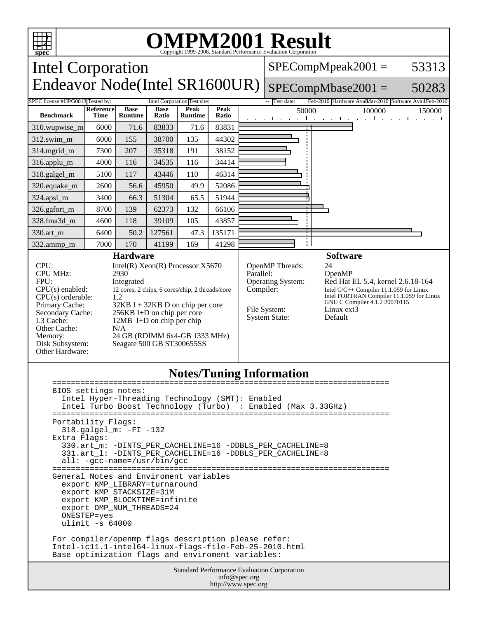

 ulimit -s 64000 For compiler/openmp flags description please refer: Intel-ic11.1-intel64-linux-flags-file-Feb-25-2010.html Base optimization flags and enviroment variables:

> Standard Performance Evaluation Corporation info@spec.org http://www.spec.org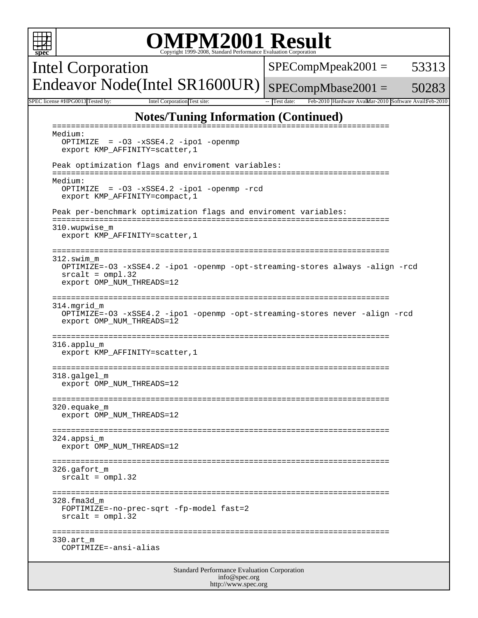|                                                                                                            | <b>OMPM2001 Result</b><br>Copyright 1999-2008, Standard Performance Evaluation Corporation                                                                                  |                                                                     |       |  |  |
|------------------------------------------------------------------------------------------------------------|-----------------------------------------------------------------------------------------------------------------------------------------------------------------------------|---------------------------------------------------------------------|-------|--|--|
|                                                                                                            | Intel Corporation                                                                                                                                                           | $SPECompMpeak2001 =$                                                | 53313 |  |  |
|                                                                                                            | Endeavor Node(Intel SR1600UR)                                                                                                                                               | $SPECompMbase2001 =$                                                | 50283 |  |  |
|                                                                                                            | SPEC license #HPG0013 Tested by:<br>Intel Corporation Test site:                                                                                                            | Test date:<br>Feb-2010 Hardware AvailMar-2010 Software AvailFeb-201 |       |  |  |
|                                                                                                            | <b>Notes/Tuning Information (Continued)</b><br>$=$ $=$ $=$ $=$ $=$                                                                                                          |                                                                     |       |  |  |
|                                                                                                            | Medium:<br>OPTIMIZE = -03 -xSSE4.2 -ipo1 -openmp<br>export KMP_AFFINITY=scatter, 1                                                                                          |                                                                     |       |  |  |
|                                                                                                            | Peak optimization flags and enviroment variables:                                                                                                                           |                                                                     |       |  |  |
|                                                                                                            | Medium:<br>OPTIMIZE = $-03 - xSSE4.2 - ipol - openmp - red$<br>export KMP_AFFINITY=compact, 1                                                                               |                                                                     |       |  |  |
|                                                                                                            | Peak per-benchmark optimization flags and enviroment variables:                                                                                                             |                                                                     |       |  |  |
|                                                                                                            | 310.wupwise m<br>export KMP_AFFINITY=scatter, 1                                                                                                                             |                                                                     |       |  |  |
|                                                                                                            | ==========================<br>312.swim m<br>OPTIMIZE=-03 -xSSE4.2 -ipol -openmp -opt-streaming-stores always -align -rcd<br>$srcalt = omp1.32$<br>export OMP_NUM_THREADS=12 |                                                                     |       |  |  |
|                                                                                                            | ===============<br>=====================<br>314.mgrid_m<br>OPTIMIZE=-03 -xSSE4.2 -ipol -openmp -opt-streaming-stores never -align -rcd<br>export OMP_NUM_THREADS=12         |                                                                     |       |  |  |
| ===============<br>======================================<br>316.applu m<br>export KMP_AFFINITY=scatter, 1 |                                                                                                                                                                             |                                                                     |       |  |  |
|                                                                                                            | 318.galgel_m<br>export OMP_NUM_THREADS=12                                                                                                                                   |                                                                     |       |  |  |
|                                                                                                            | $320.\text{equake}_m$<br>export OMP_NUM_THREADS=12                                                                                                                          |                                                                     |       |  |  |
|                                                                                                            | 324.appsi m<br>export OMP_NUM_THREADS=12                                                                                                                                    |                                                                     |       |  |  |
|                                                                                                            | 326.qafort m<br>$srcalt = omp1.32$                                                                                                                                          |                                                                     |       |  |  |
|                                                                                                            | 328.fma3d m<br>FOPTIMIZE=-no-prec-sqrt -fp-model fast=2<br>$srcalt = omp1.32$                                                                                               |                                                                     |       |  |  |
|                                                                                                            | 330.art m<br>COPTIMIZE=-ansi-alias                                                                                                                                          |                                                                     |       |  |  |
| <b>Standard Performance Evaluation Corporation</b><br>info@spec.org                                        |                                                                                                                                                                             |                                                                     |       |  |  |

http://www.spec.org